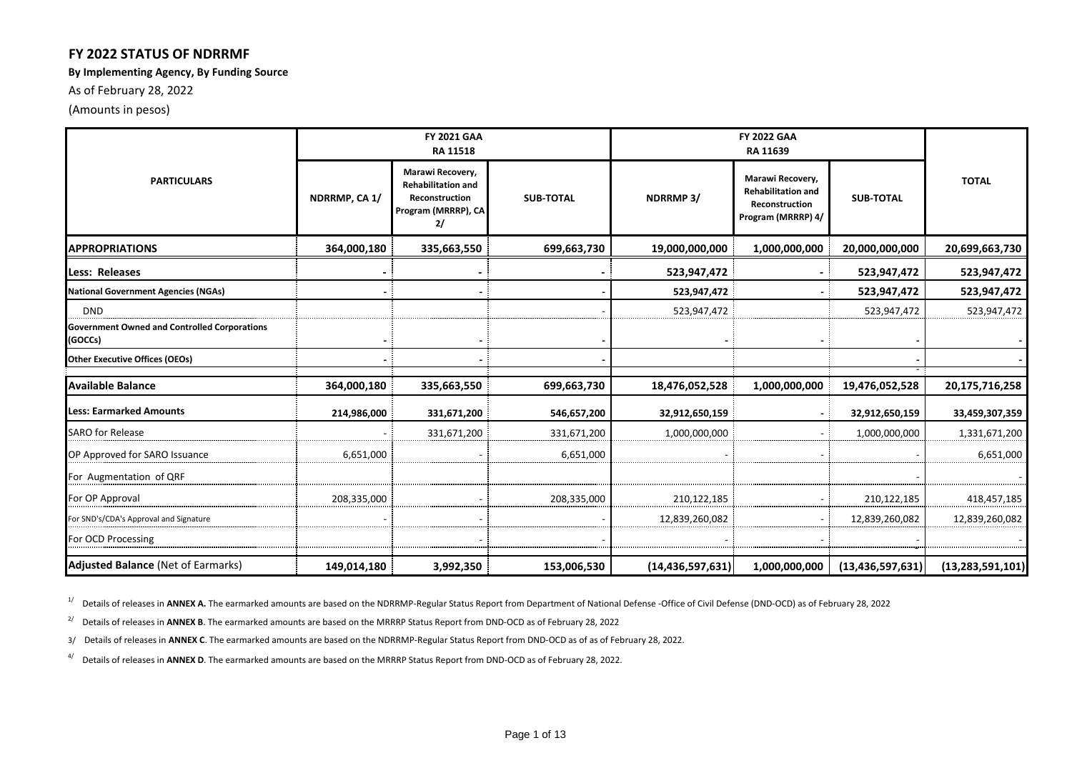### **FY 2022 STATUS OF NDRRMF**

#### **By Implementing Agency, By Funding Source**

As of February 28, 2022

(Amounts in pesos)

|                                                                | <b>FY 2021 GAA</b><br>RA 11518 |                                                                                              |                  |                     |                                                                                       |                     |                     |  |
|----------------------------------------------------------------|--------------------------------|----------------------------------------------------------------------------------------------|------------------|---------------------|---------------------------------------------------------------------------------------|---------------------|---------------------|--|
| <b>PARTICULARS</b>                                             | NDRRMP, CA 1/                  | Marawi Recovery,<br><b>Rehabilitation and</b><br>Reconstruction<br>Program (MRRRP), CA<br>2/ | <b>SUB-TOTAL</b> | NDRRMP3/            | Marawi Recovery,<br><b>Rehabilitation and</b><br>Reconstruction<br>Program (MRRRP) 4/ | <b>SUB-TOTAL</b>    | <b>TOTAL</b>        |  |
| <b>APPROPRIATIONS</b>                                          | 364,000,180                    | 335,663,550                                                                                  | 699,663,730      | 19,000,000,000      | 1,000,000,000                                                                         | 20,000,000,000      | 20,699,663,730      |  |
| Less: Releases                                                 |                                |                                                                                              |                  | 523,947,472         |                                                                                       | 523,947,472         | 523,947,472         |  |
| <b>National Government Agencies (NGAs)</b>                     |                                |                                                                                              |                  | 523,947,472         |                                                                                       | 523,947,472         | 523,947,472         |  |
| <b>DND</b>                                                     |                                |                                                                                              |                  | 523,947,472         |                                                                                       | 523,947,472         | 523,947,472         |  |
| <b>Government Owned and Controlled Corporations</b><br>(GOCCs) |                                |                                                                                              |                  |                     |                                                                                       |                     |                     |  |
| <b>Other Executive Offices (OEOs)</b>                          |                                |                                                                                              |                  |                     |                                                                                       |                     |                     |  |
| <b>Available Balance</b>                                       | 364,000,180                    | 335,663,550                                                                                  | 699,663,730      | 18,476,052,528      | 1,000,000,000                                                                         | 19,476,052,528      | 20,175,716,258      |  |
| <b>Less: Earmarked Amounts</b>                                 | 214,986,000                    | 331,671,200                                                                                  | 546,657,200      | 32,912,650,159      |                                                                                       | 32,912,650,159      | 33,459,307,359      |  |
| <b>SARO</b> for Release                                        |                                | 331,671,200                                                                                  | 331,671,200      | 1,000,000,000       |                                                                                       | 1,000,000,000       | 1,331,671,200       |  |
| OP Approved for SARO Issuance                                  | 6,651,000                      |                                                                                              | 6,651,000        |                     |                                                                                       |                     | 6,651,000           |  |
| For Augmentation of QRF                                        |                                |                                                                                              |                  |                     |                                                                                       |                     |                     |  |
| For OP Approval                                                | 208,335,000                    |                                                                                              | 208,335,000      | 210,122,185         |                                                                                       | 210,122,185         | 418,457,185         |  |
| For SND's/CDA's Approval and Signature                         |                                |                                                                                              |                  | 12,839,260,082      |                                                                                       | 12,839,260,082      | 12,839,260,082      |  |
| For OCD Processing                                             |                                |                                                                                              |                  |                     |                                                                                       |                     |                     |  |
| <b>Adjusted Balance (Net of Earmarks)</b>                      | 149,014,180                    | 3,992,350                                                                                    | 153,006,530      | (14, 436, 597, 631) | 1,000,000,000                                                                         | (13, 436, 597, 631) | (13, 283, 591, 101) |  |

<sup>1/</sup> Details of releases in **ANNEX A.** The earmarked amounts are based on the NDRRMP-Regular Status Report from Department of National Defense -Office of Civil Defense (DND-OCD) as of February 28, 2022

<sup>2/</sup> Details of releases in **ANNEX B**. The earmarked amounts are based on the MRRRP Status Report from DND-OCD as of February 28, 2022

3/ Details of releases in **ANNEX C**. The earmarked amounts are based on the NDRRMP-Regular Status Report from DND-OCD as of as of February 28, 2022.

4/ Details of releases in **ANNEX D**. The earmarked amounts are based on the MRRRP Status Report from DND-OCD as of February 28, 2022.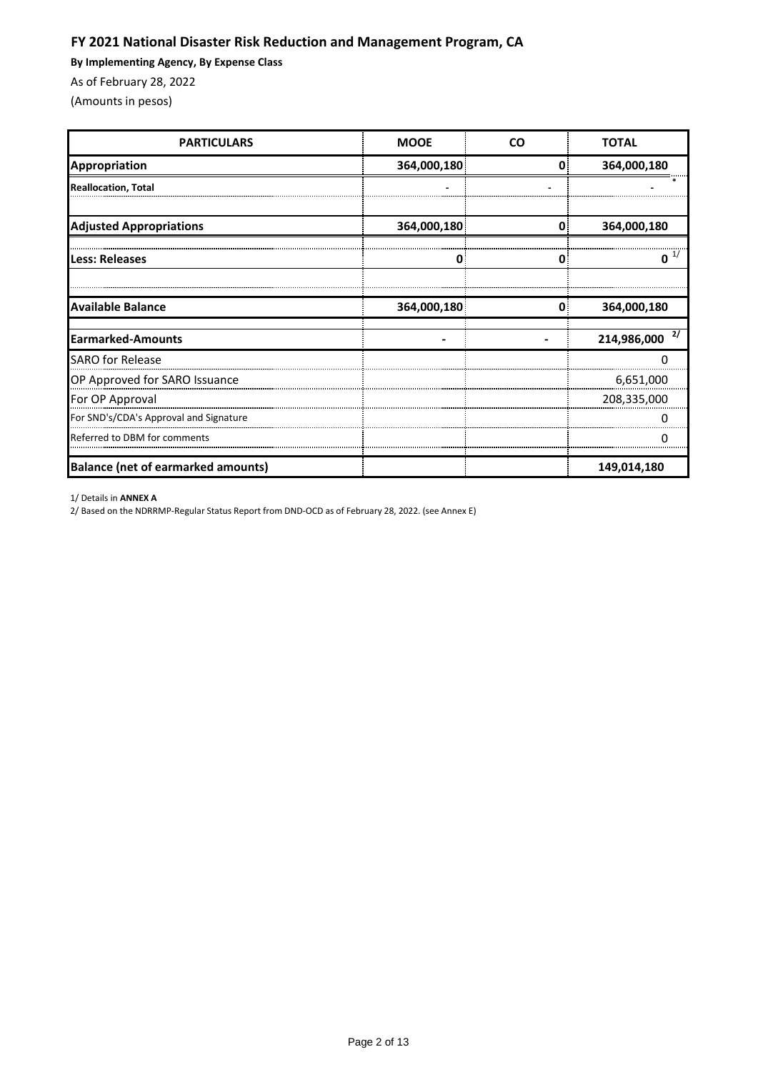## **FY 2021 National Disaster Risk Reduction and Management Program, CA**

**By Implementing Agency, By Expense Class**

As of February 28, 2022

(Amounts in pesos)

| <b>PARTICULARS</b>                        | <b>MOOE</b> | <b>CO</b>    | <b>TOTAL</b>      |
|-------------------------------------------|-------------|--------------|-------------------|
| <b>Appropriation</b>                      | 364,000,180 | 0            | 364,000,180       |
| <b>Reallocation, Total</b>                |             |              |                   |
| <b>Adjusted Appropriations</b>            | 364,000,180 | $\mathbf{0}$ | 364,000,180       |
| <b>Less: Releases</b>                     | O           | 0.           | O                 |
| <b>Available Balance</b>                  | 364,000,180 | 0            | 364,000,180       |
| Earmarked-Amounts                         |             |              | 2/<br>214,986,000 |
| <b>SARO for Release</b>                   |             |              |                   |
| OP Approved for SARO Issuance             |             |              | 6,651,000         |
| For OP Approval                           |             |              | 208,335,000       |
| For SND's/CDA's Approval and Signature    |             |              |                   |
| Referred to DBM for comments              |             |              |                   |
| <b>Balance (net of earmarked amounts)</b> |             |              | 149,014,180       |

1/ Details in **ANNEX A**

2/ Based on the NDRRMP-Regular Status Report from DND-OCD as of February 28, 2022. (see Annex E)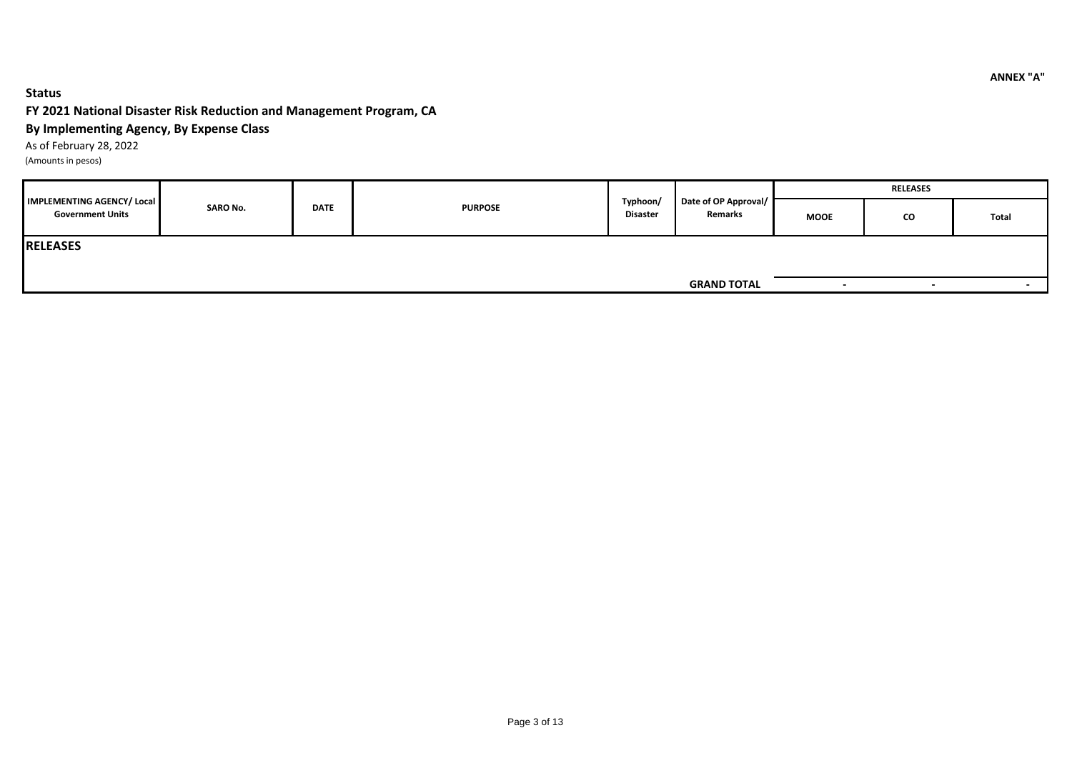#### **Status**

### **FY 2021 National Disaster Risk Reduction and Management Program, CA**

### **By Implementing Agency, By Expense Class**

As of February 28, 2022

(Amounts in pesos)

|                                                              |  | <b>SARO No.</b><br><b>DATE</b><br><b>PURPOSE</b> |                             |                                 |                    | <b>RELEASES</b>          |       |  |  |
|--------------------------------------------------------------|--|--------------------------------------------------|-----------------------------|---------------------------------|--------------------|--------------------------|-------|--|--|
| <b>IMPLEMENTING AGENCY/ Local</b><br><b>Government Units</b> |  |                                                  | Typhoon/<br><b>Disaster</b> | Date of OP Approval/<br>Remarks | <b>MOOE</b>        | CO                       | Total |  |  |
| <b>RELEASES</b>                                              |  |                                                  |                             |                                 |                    |                          |       |  |  |
|                                                              |  |                                                  |                             |                                 |                    |                          |       |  |  |
|                                                              |  |                                                  |                             |                                 | <b>GRAND TOTAL</b> | $\overline{\phantom{0}}$ |       |  |  |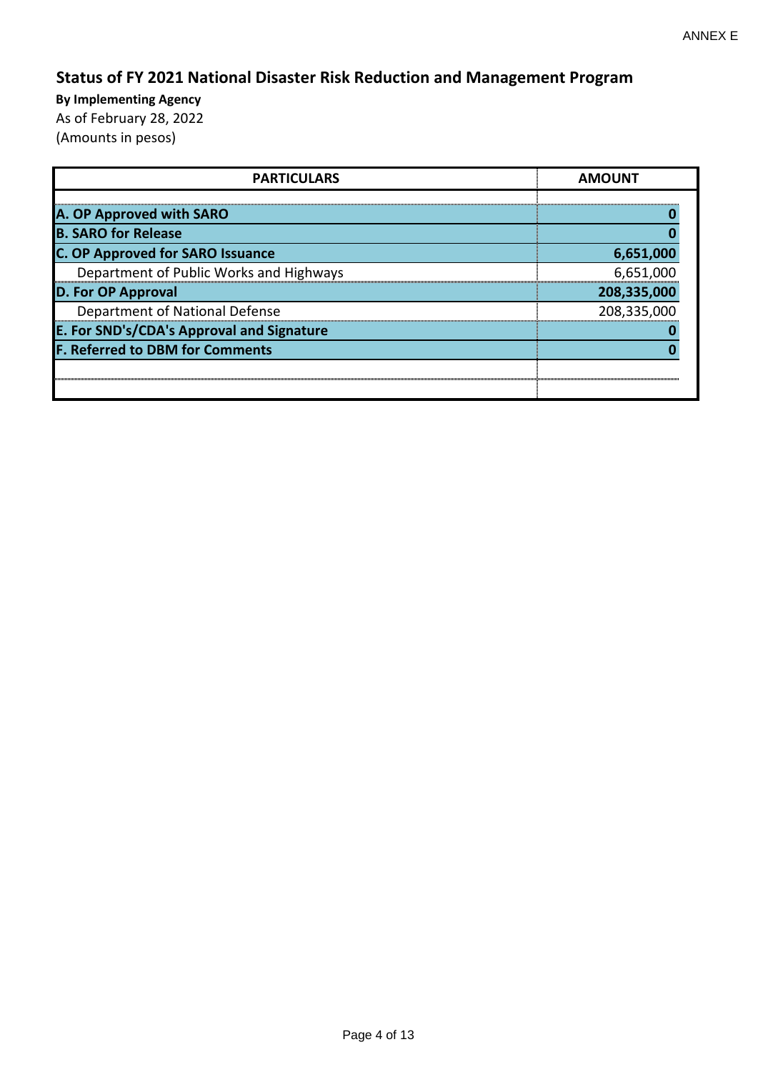# **Status of FY 2021 National Disaster Risk Reduction and Management Program**

| <b>PARTICULARS</b>                        | <b>AMOUNT</b> |
|-------------------------------------------|---------------|
|                                           |               |
| A. OP Approved with SARO                  |               |
| <b>B. SARO for Release</b>                |               |
| <b>C. OP Approved for SARO Issuance</b>   | 6,651,000     |
| Department of Public Works and Highways   | 6,651,000     |
| <b>D. For OP Approval</b>                 | 208,335,000   |
| Department of National Defense            | 208,335,000   |
| E. For SND's/CDA's Approval and Signature |               |
| <b>F. Referred to DBM for Comments</b>    |               |
|                                           |               |
|                                           |               |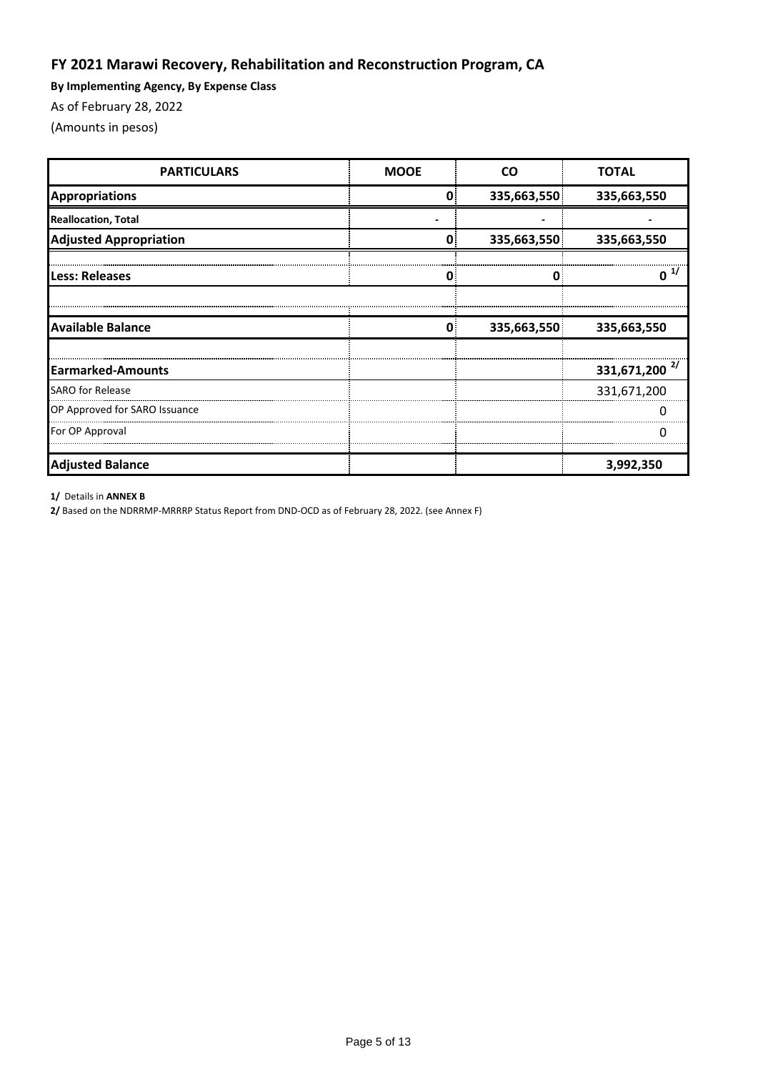## **FY 2021 Marawi Recovery, Rehabilitation and Reconstruction Program, CA**

**By Implementing Agency, By Expense Class**

As of February 28, 2022

(Amounts in pesos)

| <b>PARTICULARS</b>            | <b>MOOE</b>                                                                                                            | CΩ | <b>TOTAL</b> |
|-------------------------------|------------------------------------------------------------------------------------------------------------------------|----|--------------|
| <b>Appropriations</b>         |                                                                                                                        |    | 335,663,550  |
| <b>Reallocation, Total</b>    |                                                                                                                        |    |              |
| <b>Adjusted Appropriation</b> |                                                                                                                        |    | 335,663,550  |
| <b>Less: Releases</b>         |                                                                                                                        | 0  | ŋ            |
|                               |                                                                                                                        |    |              |
| <b>Available Balance</b>      | 335,663,550<br>0.<br>335,663,550<br>335,663,550<br>335,663,550<br>Ω<br>331,671,200 $^{2/}$<br>331,671,200<br>3,992,350 |    |              |
|                               |                                                                                                                        |    |              |
| <b>Earmarked-Amounts</b>      |                                                                                                                        |    |              |
| <b>SARO for Release</b>       |                                                                                                                        |    |              |
| OP Approved for SARO Issuance |                                                                                                                        |    |              |
| For OP Approval               |                                                                                                                        |    |              |
| <b>Adjusted Balance</b>       |                                                                                                                        |    |              |

**1/** Details in **ANNEX B**

**2/** Based on the NDRRMP-MRRRP Status Report from DND-OCD as of February 28, 2022. (see Annex F)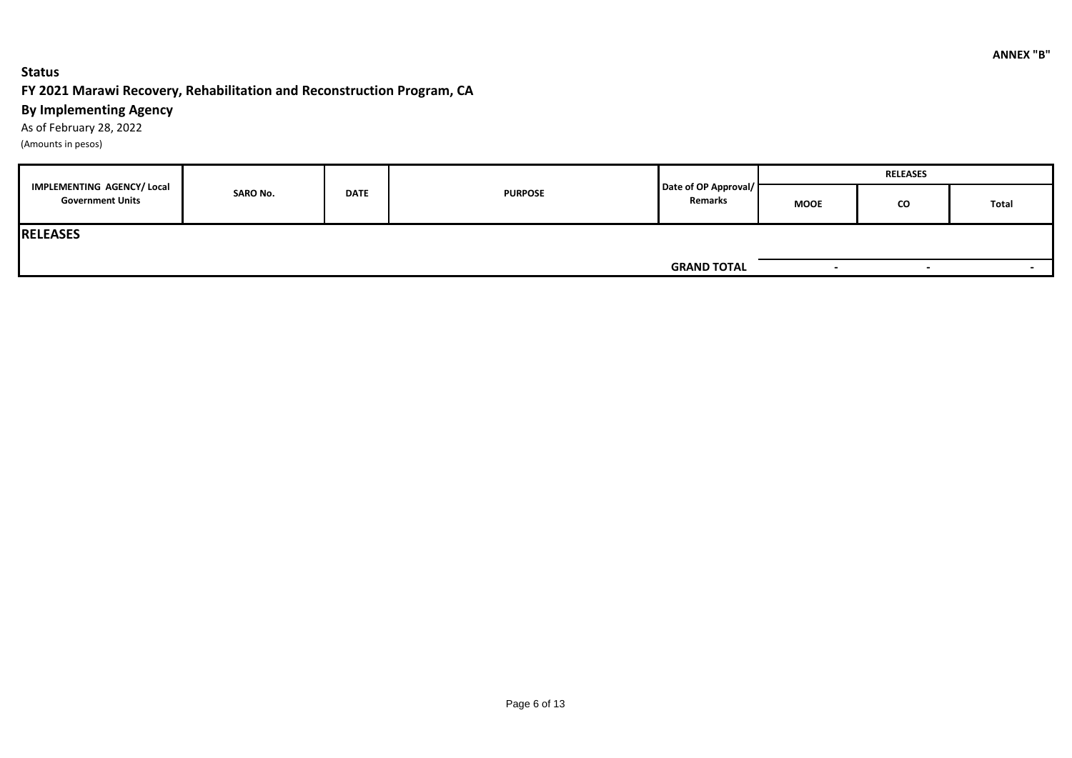### **Status**

### **FY 2021 Marawi Recovery, Rehabilitation and Reconstruction Program, CA**

### **By Implementing Agency**

As of February 28, 2022 (Amounts in pesos)

|                                                       |                 |             |                |                                 | <b>RELEASES</b>          |                          |                          |  |
|-------------------------------------------------------|-----------------|-------------|----------------|---------------------------------|--------------------------|--------------------------|--------------------------|--|
| IMPLEMENTING AGENCY/ Local<br><b>Government Units</b> | <b>SARO No.</b> | <b>DATE</b> | <b>PURPOSE</b> | Date of OP Approval/<br>Remarks | <b>MOOE</b>              | <b>CO</b>                | Total                    |  |
| <b>RELEASES</b>                                       |                 |             |                |                                 |                          |                          |                          |  |
|                                                       |                 |             |                | <b>GRAND TOTAL</b>              | $\overline{\phantom{a}}$ | $\overline{\phantom{0}}$ | $\overline{\phantom{a}}$ |  |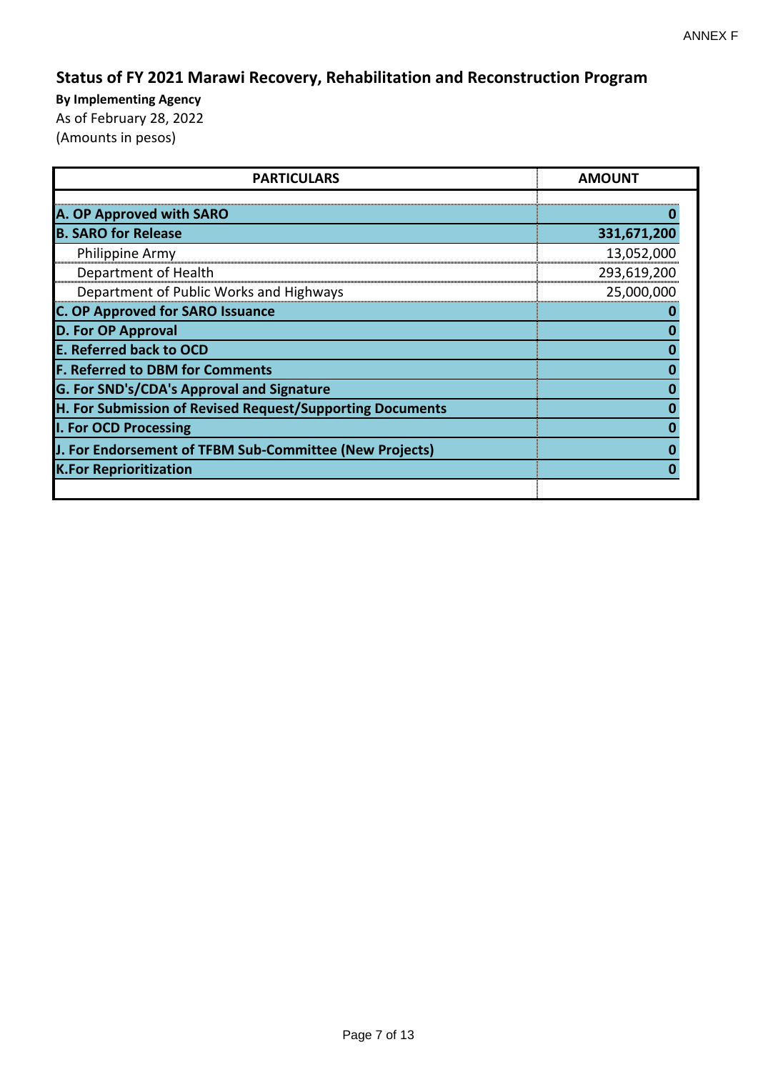# **Status of FY 2021 Marawi Recovery, Rehabilitation and Reconstruction Program**

| <b>PARTICULARS</b>                                        | <b>AMOUNT</b> |
|-----------------------------------------------------------|---------------|
| A. OP Approved with SARO                                  |               |
| <b>B. SARO for Release</b>                                | 331,671,200   |
| Philippine Army                                           | 13,052,000    |
| Department of Health                                      | 293,619,200   |
| Department of Public Works and Highways                   | 25,000,000    |
| <b>C. OP Approved for SARO Issuance</b>                   |               |
| <b>D. For OP Approval</b>                                 |               |
| <b>E. Referred back to OCD</b>                            |               |
| <b>F. Referred to DBM for Comments</b>                    |               |
| G. For SND's/CDA's Approval and Signature                 |               |
| H. For Submission of Revised Request/Supporting Documents |               |
| I. For OCD Processing                                     |               |
| J. For Endorsement of TFBM Sub-Committee (New Projects)   |               |
| <b>K.For Reprioritization</b>                             |               |
|                                                           |               |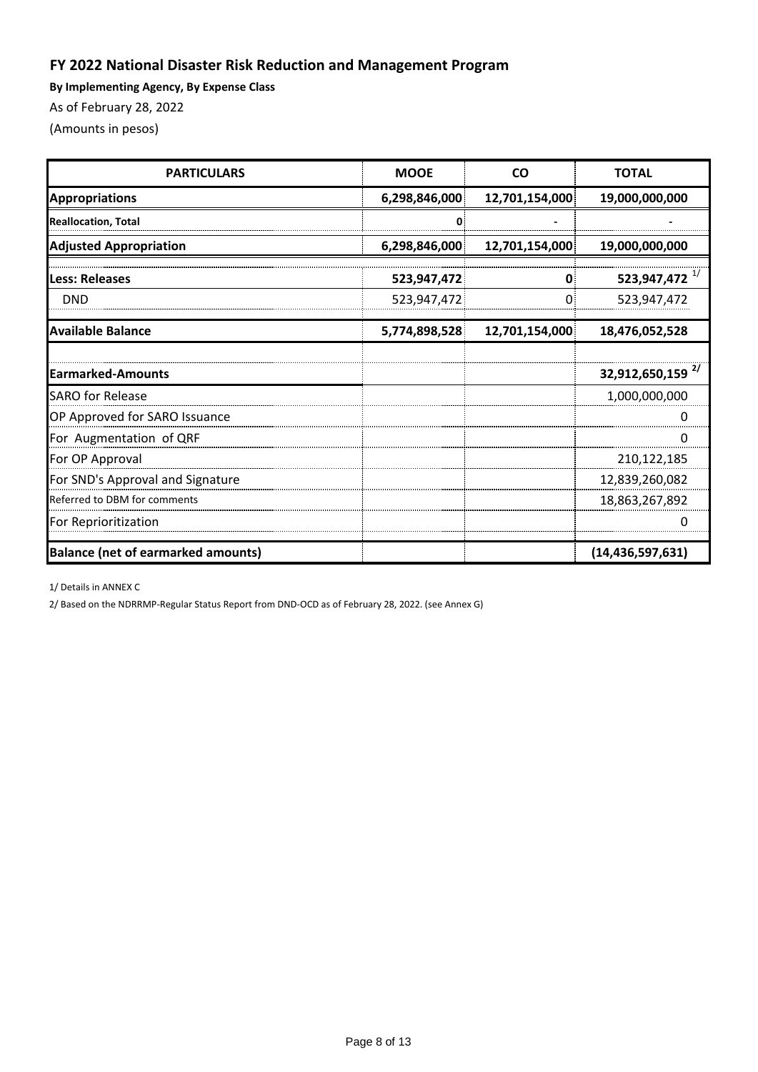## **FY 2022 National Disaster Risk Reduction and Management Program**

**By Implementing Agency, By Expense Class**

As of February 28, 2022

(Amounts in pesos)

| <b>PARTICULARS</b>                        | <b>MOOE</b>   | <b>CO</b>      | <b>TOTAL</b>                 |
|-------------------------------------------|---------------|----------------|------------------------------|
| <b>Appropriations</b>                     | 6,298,846,000 | 12,701,154,000 | 19,000,000,000               |
| <b>Reallocation, Total</b>                |               |                |                              |
| <b>Adjusted Appropriation</b>             | 6,298,846,000 | 12,701,154,000 | 19,000,000,000               |
| <b>Less: Releases</b>                     | 523,947,472   | O              | 523,947,472 $^{1/2}$         |
| <b>DND</b>                                | 523,947,472   |                | 523,947,472                  |
| <b>Available Balance</b>                  | 5,774,898,528 | 12,701,154,000 | 18,476,052,528               |
|                                           |               |                |                              |
| <b>Earmarked-Amounts</b>                  |               |                | 32,912,650,159 <sup>2/</sup> |
| <b>SARO</b> for Release                   |               |                | 1,000,000,000                |
| OP Approved for SARO Issuance             |               |                |                              |
| For Augmentation of QRF                   |               |                |                              |
| For OP Approval                           |               |                | 210,122,185                  |
| For SND's Approval and Signature          |               |                | 12,839,260,082               |
| Referred to DBM for comments              |               |                | 18,863,267,892               |
| For Reprioritization                      |               |                |                              |
| <b>Balance (net of earmarked amounts)</b> |               |                | (14, 436, 597, 631)          |

1/ Details in ANNEX C

2/ Based on the NDRRMP-Regular Status Report from DND-OCD as of February 28, 2022. (see Annex G)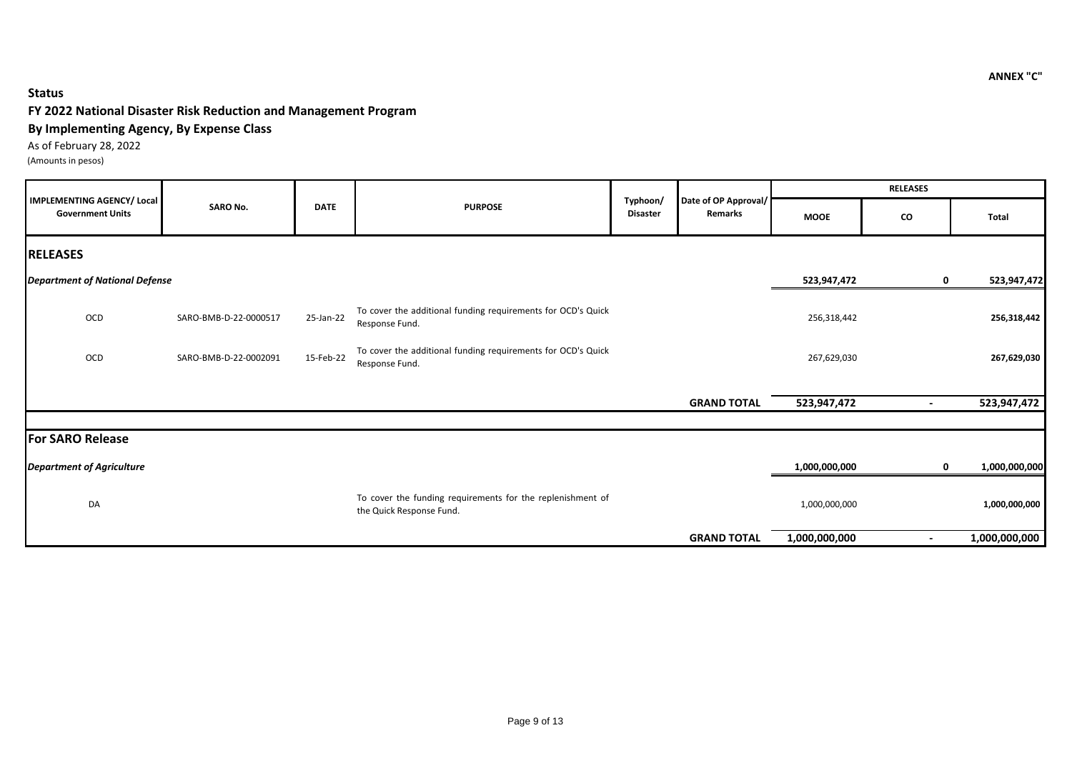### **Status**

#### **FY 2022 National Disaster Risk Reduction and Management Program**

#### **By Implementing Agency, By Expense Class**

As of February 28, 2022 (Amounts in pesos)

|                                                       |                       |             |                                                                                        |                             |                                 |               | <b>RELEASES</b> |               |
|-------------------------------------------------------|-----------------------|-------------|----------------------------------------------------------------------------------------|-----------------------------|---------------------------------|---------------|-----------------|---------------|
| IMPLEMENTING AGENCY/ Local<br><b>Government Units</b> | <b>SARO No.</b>       | <b>DATE</b> | <b>PURPOSE</b>                                                                         | Typhoon/<br><b>Disaster</b> | Date of OP Approval/<br>Remarks | <b>MOOE</b>   | CO              | Total         |
| <b>RELEASES</b>                                       |                       |             |                                                                                        |                             |                                 |               |                 |               |
| <b>Department of National Defense</b>                 |                       |             |                                                                                        |                             |                                 | 523,947,472   | $\mathbf 0$     | 523,947,472   |
| OCD                                                   | SARO-BMB-D-22-0000517 | 25-Jan-22   | To cover the additional funding requirements for OCD's Quick<br>Response Fund.         |                             |                                 | 256,318,442   |                 | 256,318,442   |
| OCD                                                   | SARO-BMB-D-22-0002091 | 15-Feb-22   | To cover the additional funding requirements for OCD's Quick<br>Response Fund.         |                             |                                 | 267,629,030   |                 | 267,629,030   |
|                                                       |                       |             |                                                                                        |                             | <b>GRAND TOTAL</b>              | 523,947,472   | $\blacksquare$  | 523,947,472   |
| <b>For SARO Release</b>                               |                       |             |                                                                                        |                             |                                 |               |                 |               |
| <b>Department of Agriculture</b>                      |                       |             |                                                                                        |                             |                                 | 1,000,000,000 | $\mathbf 0$     | 1,000,000,000 |
| DA                                                    |                       |             | To cover the funding requirements for the replenishment of<br>the Quick Response Fund. |                             |                                 | 1,000,000,000 |                 | 1,000,000,000 |
|                                                       |                       |             |                                                                                        |                             | <b>GRAND TOTAL</b>              | 1,000,000,000 |                 | 1,000,000,000 |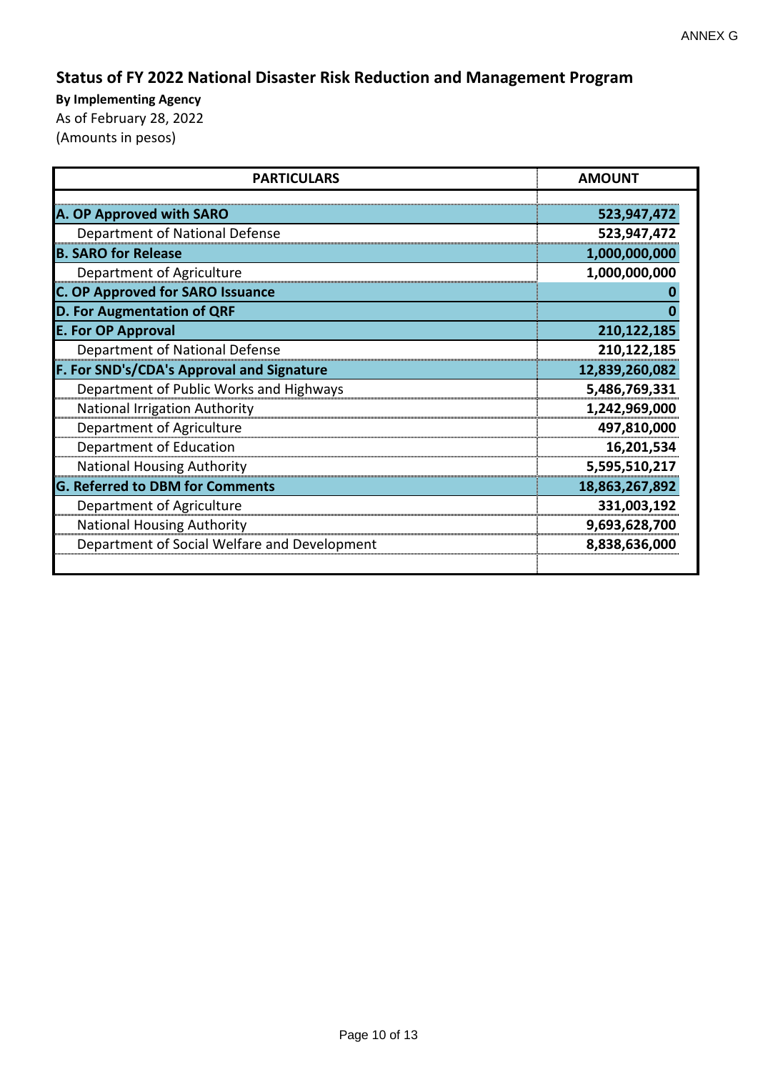# **Status of FY 2022 National Disaster Risk Reduction and Management Program**

| <b>PARTICULARS</b>                           | <b>AMOUNT</b>  |
|----------------------------------------------|----------------|
|                                              |                |
| A. OP Approved with SARO                     | 523,947,472    |
| Department of National Defense               | 523,947,472    |
| <b>B. SARO for Release</b>                   | 1,000,000,000  |
| Department of Agriculture                    | 1,000,000,000  |
| <b>C. OP Approved for SARO Issuance</b>      |                |
| <b>D. For Augmentation of QRF</b>            |                |
| <b>E. For OP Approval</b>                    | 210,122,185    |
| Department of National Defense               | 210,122,185    |
| F. For SND's/CDA's Approval and Signature    | 12,839,260,082 |
| Department of Public Works and Highways      | 5,486,769,331  |
| <b>National Irrigation Authority</b>         | 1,242,969,000  |
| Department of Agriculture                    | 497,810,000    |
| Department of Education                      | 16,201,534     |
| <b>National Housing Authority</b>            | 5,595,510,217  |
| <b>G. Referred to DBM for Comments</b>       | 18,863,267,892 |
| Department of Agriculture                    | 331,003,192    |
| <b>National Housing Authority</b>            | 9,693,628,700  |
| Department of Social Welfare and Development | 8,838,636,000  |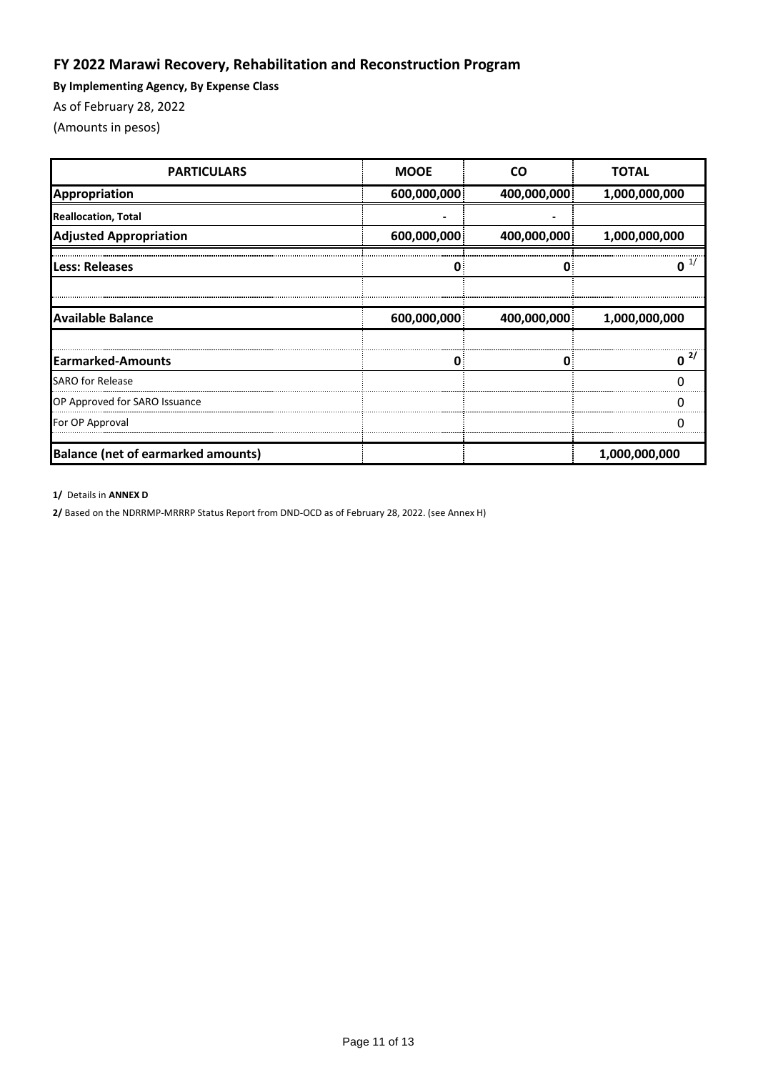## **FY 2022 Marawi Recovery, Rehabilitation and Reconstruction Program**

**By Implementing Agency, By Expense Class**

As of February 28, 2022

(Amounts in pesos)

| <b>PARTICULARS</b>                        | <b>MOOE</b> | <b>CO</b>   | <b>TOTAL</b>  |
|-------------------------------------------|-------------|-------------|---------------|
| Appropriation                             | 600,000,000 | 400,000,000 | 1,000,000,000 |
| <b>Reallocation, Total</b>                |             |             |               |
| <b>Adjusted Appropriation</b>             | 600,000,000 | 400,000,000 | 1,000,000,000 |
| Less: Releases                            |             |             |               |
| <b>Available Balance</b>                  | 600,000,000 | 400,000,000 | 1,000,000,000 |
| <b>Earmarked-Amounts</b>                  | 0           | ſ           | 2/            |
| <b>SARO for Release</b>                   |             |             |               |
| OP Approved for SARO Issuance             |             |             |               |
| For OP Approval                           |             |             |               |
| <b>Balance (net of earmarked amounts)</b> |             |             | 1,000,000,000 |

**1/** Details in **ANNEX D**

**2/** Based on the NDRRMP-MRRRP Status Report from DND-OCD as of February 28, 2022. (see Annex H)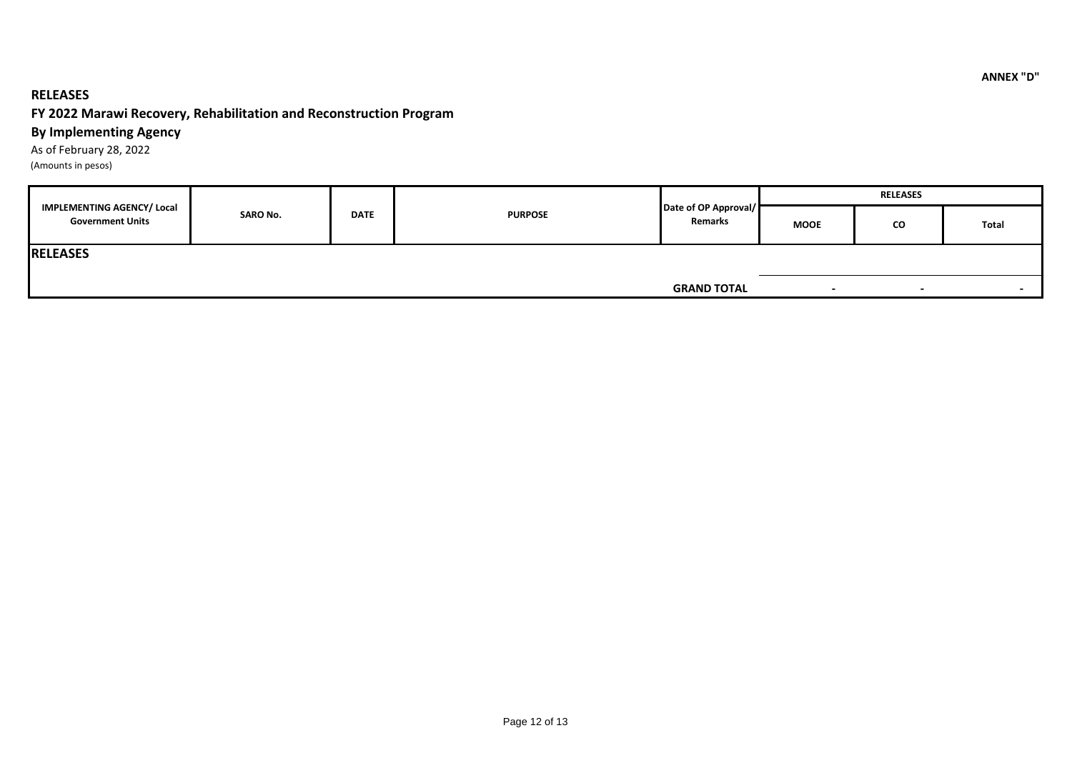### **RELEASES**

### **FY 2022 Marawi Recovery, Rehabilitation and Reconstruction Program**

### **By Implementing Agency**

As of February 28, 2022

(Amounts in pesos)

|                                                              |                 |             |                |                                 | <b>RELEASES</b> |                          |                          |  |
|--------------------------------------------------------------|-----------------|-------------|----------------|---------------------------------|-----------------|--------------------------|--------------------------|--|
| <b>IMPLEMENTING AGENCY/ Local</b><br><b>Government Units</b> | <b>SARO No.</b> | <b>DATE</b> | <b>PURPOSE</b> | Date of OP Approval/<br>Remarks | <b>MOOE</b>     | CO                       | Total                    |  |
| <b>RELEASES</b>                                              |                 |             |                |                                 |                 |                          |                          |  |
|                                                              |                 |             |                | <b>GRAND TOTAL</b>              |                 | $\overline{\phantom{0}}$ | $\overline{\phantom{a}}$ |  |